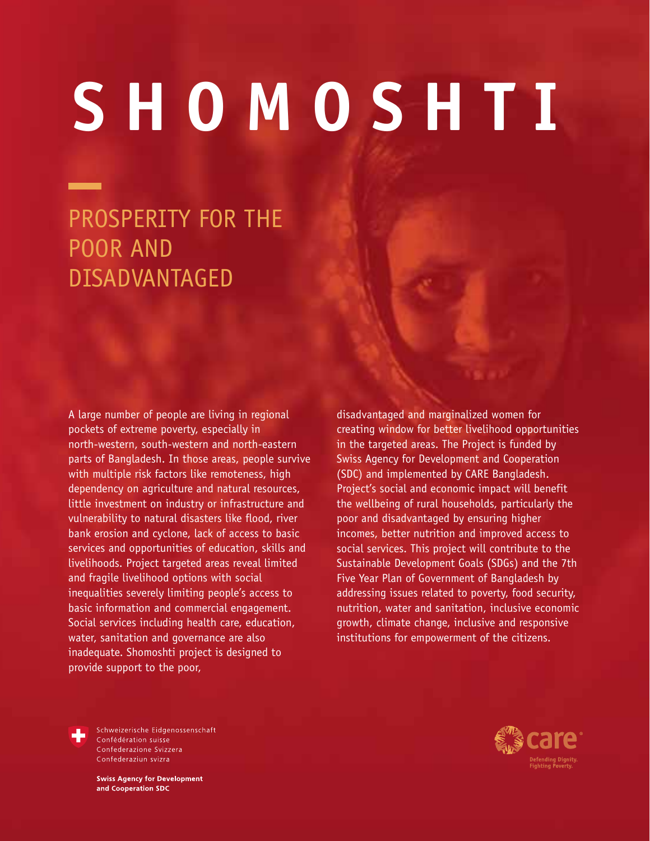# **SHOMOSHTI**

# PROSPERITY FOR THE POOR AND DISADVANTAGED

A large number of people are living in regional pockets of extreme poverty, especially in north-western, south-western and north-eastern parts of Bangladesh. In those areas, people survive with multiple risk factors like remoteness, high dependency on agriculture and natural resources, little investment on industry or infrastructure and vulnerability to natural disasters like flood, river bank erosion and cyclone, lack of access to basic services and opportunities of education, skills and livelihoods. Project targeted areas reveal limited and fragile livelihood options with social inequalities severely limiting people's access to basic information and commercial engagement. Social services including health care, education, water, sanitation and governance are also inadequate. Shomoshti project is designed to provide support to the poor,

disadvantaged and marginalized women for creating window for better livelihood opportunities in the targeted areas. The Project is funded by Swiss Agency for Development and Cooperation (SDC) and implemented by CARE Bangladesh. Project's social and economic impact will benefit the wellbeing of rural households, particularly the poor and disadvantaged by ensuring higher incomes, better nutrition and improved access to social services. This project will contribute to the Sustainable Development Goals (SDGs) and the 7th Five Year Plan of Government of Bangladesh by addressing issues related to poverty, food security, nutrition, water and sanitation, inclusive economic growth, climate change, inclusive and responsive institutions for empowerment of the citizens.



Schweizerische Eidgenossenschaft Confédération suisse Confederazione Svizzera Confederaziun svizra

**Swiss Agency for Development** and Cooperation SDC

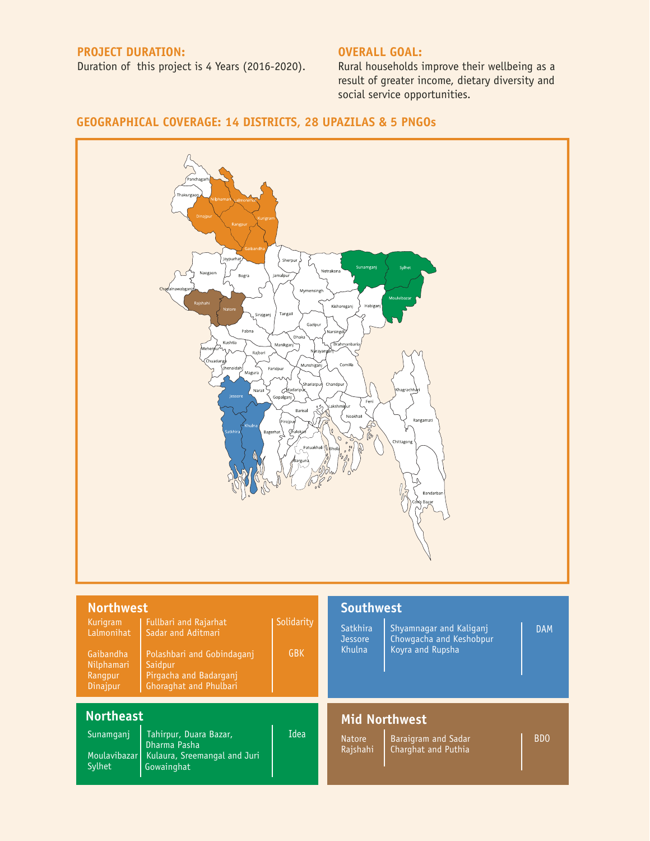#### **PROJECT DURATION:**

Duration of this project is 4 Years (2016-2020).

#### **OVERALL GOAL:**

Rural households improve their wellbeing as a result of greater income, dietary diversity and social service opportunities.

## **GEOGRAPHICAL COVERAGE: 14 DISTRICTS, 28 UPAZILAS & 5 PNGOs**



| <b>Northwest</b>                                                                |                                                                                                                                                 |                          | <b>Southwest</b>                     |                                                                               |            |
|---------------------------------------------------------------------------------|-------------------------------------------------------------------------------------------------------------------------------------------------|--------------------------|--------------------------------------|-------------------------------------------------------------------------------|------------|
| Kurigram<br>Lalmonihat<br>Gaibandha<br>Nilphamari<br>Rangpur<br><b>Dinajpur</b> | <b>Fullbari and Rajarhat</b><br>Sadar and Aditmari<br>Polashbari and Gobindagani<br>Saidpur<br>Pirgacha and Badargani<br>Ghoraghat and Phulbari | Solidarity<br><b>GBK</b> | Satkhira<br><b>Jessore</b><br>Khulna | <b>Shyamnagar and Kaliganj</b><br>Chowgacha and Keshobpur<br>Koyra and Rupsha | <b>DAM</b> |
| <b>Northeast</b><br>Sunamgani<br>Moulavibazar<br>Sylhet                         | Tahirpur, Duara Bazar,<br>Dharma Pasha<br>Kulaura, Sreemangal and Juri<br>Gowainghat                                                            | Idea                     | <b>Natore</b><br>Rajshahi            | <b>Mid Northwest</b><br><b>Baraigram and Sadar</b><br>Charghat and Puthia     | <b>BDO</b> |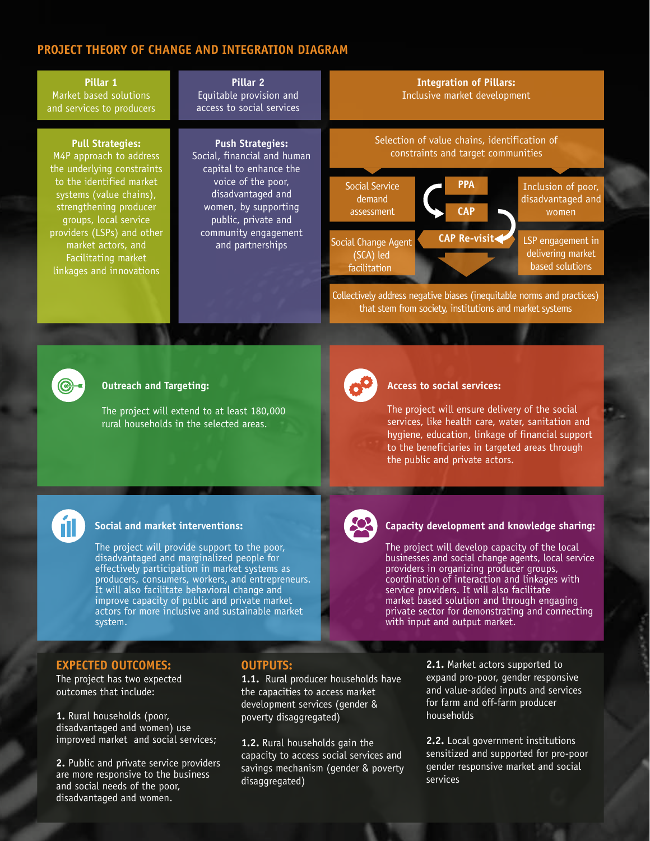### **PROJECT THEORY OF CHANGE AND INTEGRATION DIAGRAM**





#### **Outreach and Targeting:**

The project will extend to at least 180,000 rural households in the selected areas.



#### **Access to social services:**

The project will ensure delivery of the social services, like health care, water, sanitation and hygiene, education, linkage of financial support to the beneficiaries in targeted areas through the public and private actors.



#### **Social and market interventions:**

The project will provide support to the poor, disadvantaged and marginalized people for effectively participation in market systems as producers, consumers, workers, and entrepreneurs. It will also facilitate behavioral change and improve capacity of public and private market actors for more inclusive and sustainable market system.



#### **Capacity development and knowledge sharing:**

The project will develop capacity of the local businesses and social change agents, local service providers in organizing producer groups, coordination of interaction and linkages with service providers. It will also facilitate market based solution and through engaging private sector for demonstrating and connecting with input and output market.

#### **EXPECTED OUTCOMES:**

The project has two expected outcomes that include:

**1.** Rural households (poor, disadvantaged and women) use improved market and social services;

**2.** Public and private service providers are more responsive to the business and social needs of the poor, disadvantaged and women.

#### **OUTPUTS:**

1.1. Rural producer households have the capacities to access market development services (gender & poverty disaggregated)

**1.2.** Rural households gain the capacity to access social services and savings mechanism (gender & poverty disaggregated)

**2.1.** Market actors supported to expand pro-poor, gender responsive and value-added inputs and services for farm and off-farm producer households

**2.2.** Local government institutions sensitized and supported for pro-poor gender responsive market and social services